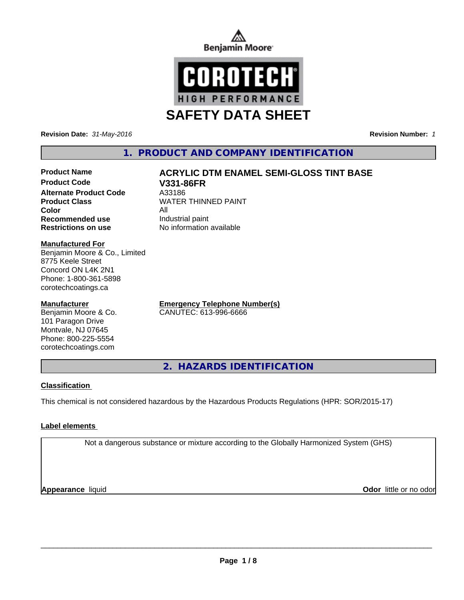



**Revision Date:** *31-May-2016* **Revision Number:** *1*

# **1. PRODUCT AND COMPANY IDENTIFICATION**

## **Product Name**  $ACRYLIC$  **DTM ENAMEL SEMI-GLOSS TINT BASE Product Code V331-86FR**

**Alternate Product Code** A33186<br> **Product Class** MATER **Color** All **Recommended use** Industrial paint **Restrictions on use** No information available

**WATER THINNED PAINT** 

## **Manufactured For**

Benjamin Moore & Co., Limited 8775 Keele Street Concord ON L4K 2N1 Phone: 1-800-361-5898 corotechcoatings.ca

## **Manufacturer**

Benjamin Moore & Co. 101 Paragon Drive Montvale, NJ 07645 Phone: 800-225-5554 corotechcoatings.com

**Emergency Telephone Number(s)** CANUTEC: 613-996-6666

**2. HAZARDS IDENTIFICATION**

## **Classification**

This chemical is not considered hazardous by the Hazardous Products Regulations (HPR: SOR/2015-17)

## **Label elements**

Not a dangerous substance or mixture according to the Globally Harmonized System (GHS)

**Appearance** liquid

**Odor** little or no odor

 $\overline{\phantom{a}}$  ,  $\overline{\phantom{a}}$  ,  $\overline{\phantom{a}}$  ,  $\overline{\phantom{a}}$  ,  $\overline{\phantom{a}}$  ,  $\overline{\phantom{a}}$  ,  $\overline{\phantom{a}}$  ,  $\overline{\phantom{a}}$  ,  $\overline{\phantom{a}}$  ,  $\overline{\phantom{a}}$  ,  $\overline{\phantom{a}}$  ,  $\overline{\phantom{a}}$  ,  $\overline{\phantom{a}}$  ,  $\overline{\phantom{a}}$  ,  $\overline{\phantom{a}}$  ,  $\overline{\phantom{a}}$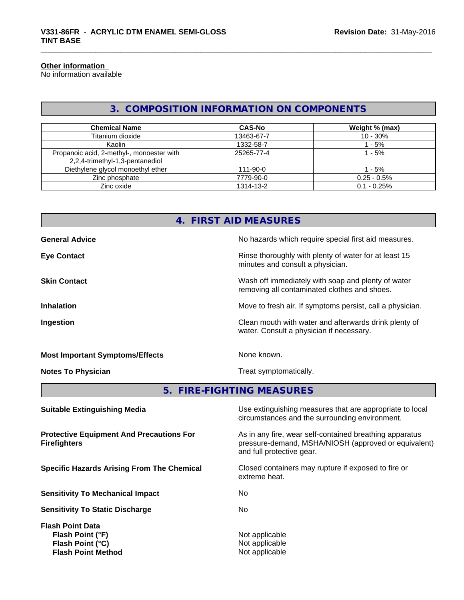#### **Other information**

No information available

# **3. COMPOSITION INFORMATION ON COMPONENTS**

| <b>Chemical Name</b>                                                         | <b>CAS-No</b>  | Weight % (max) |
|------------------------------------------------------------------------------|----------------|----------------|
| Titanium dioxide                                                             | 13463-67-7     | $10 - 30%$     |
| Kaolin                                                                       | 1332-58-7      | ' - 5%         |
| Propanoic acid, 2-methyl-, monoester with<br>2,2,4-trimethyl-1,3-pentanediol | 25265-77-4     | 1 - 5%         |
| Diethylene glycol monoethyl ether                                            | $111 - 90 - 0$ | ' - 5%         |
| Zinc phosphate                                                               | 7779-90-0      | $0.25 - 0.5\%$ |
| Zinc oxide                                                                   | 1314-13-2      | $0.1 - 0.25%$  |

# **4. FIRST AID MEASURES**

| <b>General Advice</b>                  | No hazards which require special first aid measures.                                               |
|----------------------------------------|----------------------------------------------------------------------------------------------------|
| <b>Eye Contact</b>                     | Rinse thoroughly with plenty of water for at least 15<br>minutes and consult a physician.          |
| <b>Skin Contact</b>                    | Wash off immediately with soap and plenty of water<br>removing all contaminated clothes and shoes. |
| <b>Inhalation</b>                      | Move to fresh air. If symptoms persist, call a physician.                                          |
| Ingestion                              | Clean mouth with water and afterwards drink plenty of<br>water. Consult a physician if necessary.  |
| <b>Most Important Symptoms/Effects</b> | None known.                                                                                        |
| <b>Notes To Physician</b>              | Treat symptomatically.                                                                             |

**5. FIRE-FIGHTING MEASURES**

| <b>Suitable Extinguishing Media</b>                                    | Use extinguishing measures that are appropriate to local<br>circumstances and the surrounding environment.                                   |
|------------------------------------------------------------------------|----------------------------------------------------------------------------------------------------------------------------------------------|
| <b>Protective Equipment And Precautions For</b><br><b>Firefighters</b> | As in any fire, wear self-contained breathing apparatus<br>pressure-demand, MSHA/NIOSH (approved or equivalent)<br>and full protective gear. |
| <b>Specific Hazards Arising From The Chemical</b>                      | Closed containers may rupture if exposed to fire or<br>extreme heat.                                                                         |
| <b>Sensitivity To Mechanical Impact</b>                                | No.                                                                                                                                          |
| <b>Sensitivity To Static Discharge</b>                                 | No.                                                                                                                                          |
| <b>Flash Point Data</b>                                                |                                                                                                                                              |
| Flash Point (°F)                                                       | Not applicable                                                                                                                               |
| Flash Point (°C)                                                       | Not applicable                                                                                                                               |
| <b>Flash Point Method</b>                                              | Not applicable                                                                                                                               |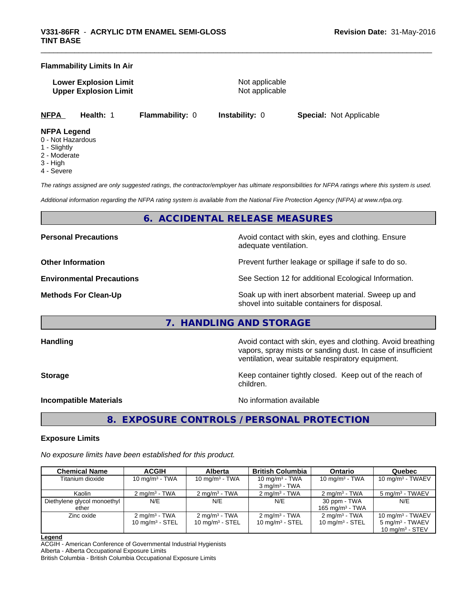#### **Flammability Limits In Air**

**Lower Explosion Limit** Not applicable **Upper Explosion Limit** Not applicable

**NFPA Health:** 1 **Flammability:** 0 **Instability:** 0 **Special:** Not Applicable

#### **NFPA Legend**

- 0 Not Hazardous
- 1 Slightly
- 2 Moderate
- 3 High
- 4 Severe

*The ratings assigned are only suggested ratings, the contractor/employer has ultimate responsibilities for NFPA ratings where this system is used.*

*Additional information regarding the NFPA rating system is available from the National Fire Protection Agency (NFPA) at www.nfpa.org.*

## **6. ACCIDENTAL RELEASE MEASURES**

**Personal Precautions Precautions** Avoid contact with skin, eyes and clothing. Ensure

adequate ventilation.

**Other Information Discription Prevent further leakage or spillage if safe to do so.** 

**Environmental Precautions** See Section 12 for additional Ecological Information.

**Methods For Clean-Up Force 20 All 20 All 20 All 20 Soak** up with inert absorbent material. Sweep up and shovel into suitable containers for disposal.

## **7. HANDLING AND STORAGE**

**Handling Handling Avoid contact with skin, eyes and clothing. Avoid breathing H** 

vapors, spray mists or sanding dust. In case of insufficient ventilation, wear suitable respiratory equipment.

**Storage Keep container tightly closed. Keep out of the reach of Keep** container tightly closed. Keep out of the reach of children.

#### **Incompatible Materials Incompatible Materials No information available**

**8. EXPOSURE CONTROLS / PERSONAL PROTECTION**

## **Exposure Limits**

*No exposure limits have been established for this product.*

| <b>Chemical Name</b>                 | <b>ACGIH</b>                                   | <b>Alberta</b>                                 | <b>British Columbia</b>                        | <b>Ontario</b>                                | Quebec                                                                                  |
|--------------------------------------|------------------------------------------------|------------------------------------------------|------------------------------------------------|-----------------------------------------------|-----------------------------------------------------------------------------------------|
| Titanium dioxide                     | 10 mg/m $3$ - TWA                              | 10 mg/m $3$ - TWA                              | 10 mg/m $3$ - TWA<br>$3 \text{ mg/m}^3$ - TWA  | 10 mg/m $3$ - TWA                             | 10 mg/m $3$ - TWAEV                                                                     |
| Kaolin                               | $2 \text{ ma/m}^3$ - TWA                       | $2 \text{ ma/m}^3$ - TWA                       | $2 \text{ ma/m}^3$ - TWA                       | $2 \text{ mg/m}^3$ - TWA                      | 5 mg/m <sup>3</sup> - TWAEV                                                             |
| Diethylene glycol monoethyl<br>ether | N/E                                            | N/E                                            | N/E                                            | 30 ppm - TWA<br>165 mg/m <sup>3</sup> - TWA   | N/E                                                                                     |
| Zinc oxide                           | $2 \text{ mg/m}^3$ - TWA<br>10 $mq/m^3$ - STEL | $2 \text{ mg/m}^3$ - TWA<br>10 mg/m $3 -$ STEL | $2 \text{ mg/m}^3$ - TWA<br>10 mg/m $3$ - STEL | $2 \text{mq/m}^3$ - TWA<br>10 mg/m $3 -$ STEL | $10 \text{ mg/m}^3$ - TWAEV<br>$5 \text{ mg/m}^3$ - TWAEV<br>$10 \text{ mg/m}^3$ - STEV |

#### **Legend**

ACGIH - American Conference of Governmental Industrial Hygienists Alberta - Alberta Occupational Exposure Limits

British Columbia - British Columbia Occupational Exposure Limits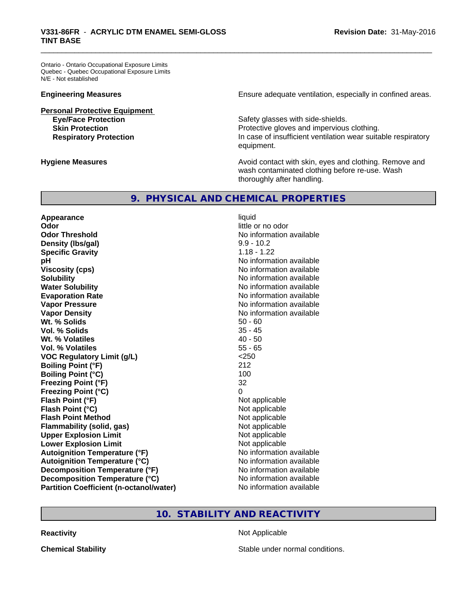Ontario - Ontario Occupational Exposure Limits Quebec - Quebec Occupational Exposure Limits N/E - Not established

**Personal Protective Equipment**

**Engineering Measures Ensure** Ensure adequate ventilation, especially in confined areas.

**Eye/Face Protection Safety glasses with side-shields. Skin Protection Protection Protective gloves and impervious clothing. Respiratory Protection In case of insufficient ventilation wear suitable respiratory** equipment.

**Hygiene Measures Avoid contact with skin, eyes and clothing. Remove and Avoid contact with skin, eyes and clothing. Remove and Avoid contact with skin, eyes and clothing. Remove and** wash contaminated clothing before re-use. Wash thoroughly after handling.

## **9. PHYSICAL AND CHEMICAL PROPERTIES**

**Appearance** liquid **Odor** little or no odor **Odor Threshold No information available No information available Density (lbs/gal)** 9.9 - 10.2 **Specific Gravity** 1.18 - 1.22 **pH** No information available **Viscosity (cps)** No information available **Solubility No information available No information available Water Solubility Water Solubility Water Solubility No information available Evaporation Rate No information available No information available Vapor Pressure** No information available **Vapor Density Vapor Density No information available Wt. % Solids** 50 - 60 **Vol. % Solids** 35 - 45 **Wt. % Volatiles Vol. % Volatiles** 55 - 65 **VOC Regulatory Limit (g/L)** <250 **Boiling Point (°F)** 212 **Boiling Point (°C)** 100 **Freezing Point (°F)** 32 **Freezing Point (°C) Flash Point (°F)** Not applicable **Flash Point (°C)**<br> **Flash Point Method**<br> **Flash Point Method** Not applicable **Flash Point Method Flammability (solid, gas)** Not applicable **Upper Explosion Limit**<br> **Lower Explosion Limit**<br> **Lower Explosion Limit Lower Explosion Limit Autoignition Temperature (°F)** No information available **Autoignition Temperature (°C)** No information available **Decomposition Temperature (°F)** No information available **Decomposition Temperature (°C)** No information available **Partition Coefficient (n-octanol/water)** No information available

## **10. STABILITY AND REACTIVITY**

**Reactivity Not Applicable** 

**Chemical Stability Stable under normal conditions.**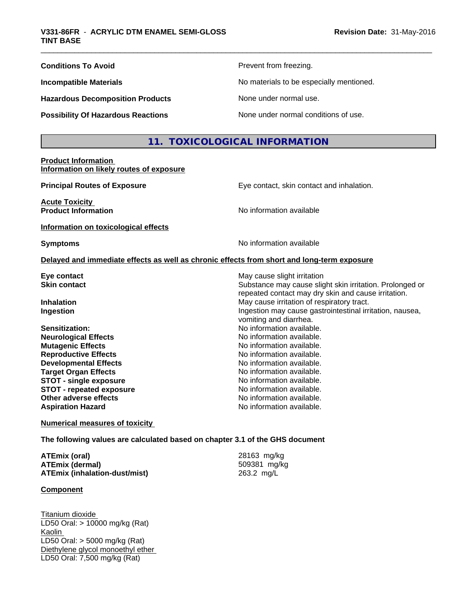| <b>Conditions To Avoid</b>                | Prevent from freezing.                   |
|-------------------------------------------|------------------------------------------|
| <b>Incompatible Materials</b>             | No materials to be especially mentioned. |
| <b>Hazardous Decomposition Products</b>   | None under normal use.                   |
| <b>Possibility Of Hazardous Reactions</b> | None under normal conditions of use.     |

## **11. TOXICOLOGICAL INFORMATION**

## **Product Information Information on likely routes of exposure**

**Acute Toxicity** 

**Principal Routes of Exposure Exposure** Eye contact, skin contact and inhalation.

Substance may cause slight skin irritation. Prolonged or repeated contact may dry skin and cause irritation.

**Product Information** and **Product Information No information available** 

## **Information on toxicological effects**

**Symptoms** No information available

vomiting and diarrhea.

#### **Delayed and immediate effects as well as chronic effects from short and long-term exposure**

**Eye contact**<br> **Exercise Skin contact**<br> **Substance may cause slight irritation**<br> **Substance may cause slight in the Substance may cause slight irritation** 

**Inhalation** May cause irritation of respiratory tract. **Ingestion Ingestion Ingestion may cause gastrointestinal irritation, nausea,** 

**Sensitization:** No information available.<br> **No information available.**<br>
No information available. **Neurological Effects Mutagenic Effects** No information available. **Reproductive Effects**<br> **Reproductive Effects**<br> **Developmental Effects**<br> **No information available. Developmental Effects Target Organ Effects No information available. STOT** - single exposure **No information available. STOT** - **repeated exposure** No information available. **Other adverse effects** No information available. **Aspiration Hazard Aspiration Hazard No information available.** 

**Numerical measures of toxicity**

**The following values are calculated based on chapter 3.1 of the GHS document**

| ATEmix (oral)                        | 28163 mg/kg  |
|--------------------------------------|--------------|
| <b>ATEmix (dermal)</b>               | 509381 mg/kg |
| <b>ATEmix (inhalation-dust/mist)</b> | 263.2 mg/L   |

## **Component**

Titanium dioxide LD50 Oral: > 10000 mg/kg (Rat) Kaolin LD50 Oral: > 5000 mg/kg (Rat) Diethylene glycol monoethyl ether LD50 Oral: 7,500 mg/kg (Rat)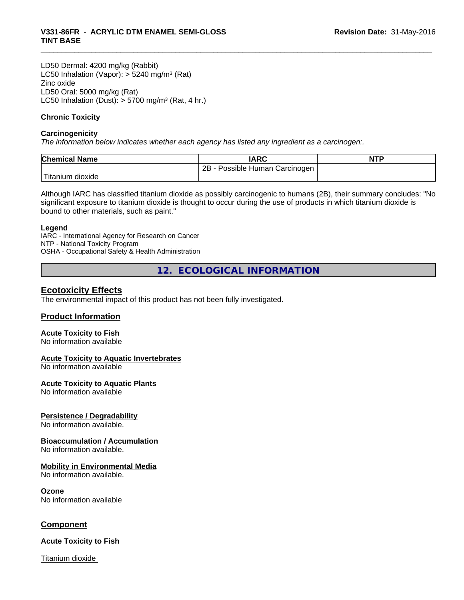LD50 Dermal: 4200 mg/kg (Rabbit) LC50 Inhalation (Vapor): > 5240 mg/m<sup>3</sup> (Rat) Zinc oxide LD50 Oral: 5000 mg/kg (Rat) LC50 Inhalation (Dust):  $> 5700$  mg/m<sup>3</sup> (Rat, 4 hr.)

## **Chronic Toxicity**

## **Carcinogenicity**

*The information below indicateswhether each agency has listed any ingredient as a carcinogen:.*

| <b>Chemical Name</b>          | <b>IARC</b>                     | <b>NTF</b> |
|-------------------------------|---------------------------------|------------|
|                               | 2B<br>Possible Human Carcinogen |            |
| l ma<br>⊧dioxide<br>I itanium |                                 |            |

Although IARC has classified titanium dioxide as possibly carcinogenic to humans (2B), their summary concludes: "No significant exposure to titanium dioxide is thought to occur during the use of products in which titanium dioxide is bound to other materials, such as paint."

#### **Legend**

IARC - International Agency for Research on Cancer NTP - National Toxicity Program OSHA - Occupational Safety & Health Administration

**12. ECOLOGICAL INFORMATION**

## **Ecotoxicity Effects**

The environmental impact of this product has not been fully investigated.

## **Product Information**

## **Acute Toxicity to Fish**

No information available

## **Acute Toxicity to Aquatic Invertebrates**

No information available

## **Acute Toxicity to Aquatic Plants**

No information available

## **Persistence / Degradability**

No information available.

## **Bioaccumulation / Accumulation**

No information available.

## **Mobility in Environmental Media**

No information available.

#### **Ozone**

No information available

## **Component**

## **Acute Toxicity to Fish**

Titanium dioxide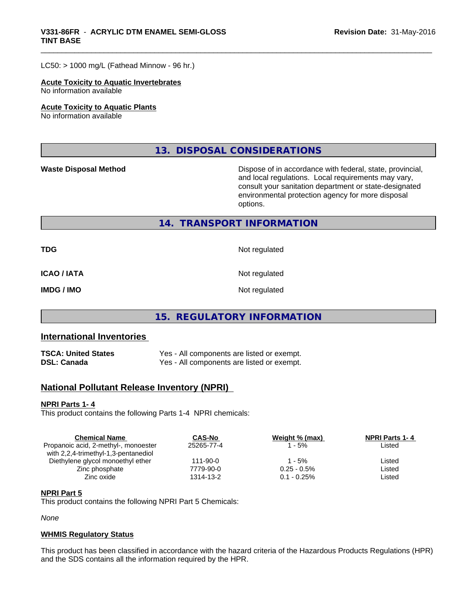#### $LC50:$  > 1000 mg/L (Fathead Minnow - 96 hr.)

#### **Acute Toxicity to Aquatic Invertebrates**

No information available

#### **Acute Toxicity to Aquatic Plants**

No information available

**13. DISPOSAL CONSIDERATIONS**

**Waste Disposal Method Dispose of in accordance with federal, state, provincial,** and local regulations. Local requirements may vary, consult your sanitation department or state-designated environmental protection agency for more disposal options.

## **14. TRANSPORT INFORMATION**

**TDG** Not regulated

**ICAO / IATA** Not regulated

**IMDG / IMO** Not regulated

## **15. REGULATORY INFORMATION**

## **International Inventories**

**TSCA: United States** Yes - All components are listed or exempt. **DSL: Canada** Yes - All components are listed or exempt.

## **National Pollutant Release Inventory (NPRI)**

## **NPRI Parts 1- 4**

This product contains the following Parts 1-4 NPRI chemicals:

| <b>Chemical Name</b>                 | <b>CAS-No</b>  | Weight % (max) | <b>NPRI Parts 1-4</b> |  |
|--------------------------------------|----------------|----------------|-----------------------|--|
| Propanoic acid, 2-methyl-, monoester | 25265-77-4     | - 5%           | Listed                |  |
| with 2,2,4-trimethyl-1,3-pentanediol |                |                |                       |  |
| Diethylene glycol monoethyl ether    | $111 - 90 - 0$ | 1 - 5%         | Listed                |  |
| Zinc phosphate                       | 7779-90-0      | $0.25 - 0.5\%$ | Listed                |  |
| Zinc oxide                           | 1314-13-2      | $0.1 - 0.25\%$ | Listed                |  |
|                                      |                |                |                       |  |

## **NPRI Part 5**

This product contains the following NPRI Part 5 Chemicals:

*None*

## **WHMIS Regulatory Status**

This product has been classified in accordance with the hazard criteria of the Hazardous Products Regulations (HPR) and the SDS contains all the information required by the HPR.